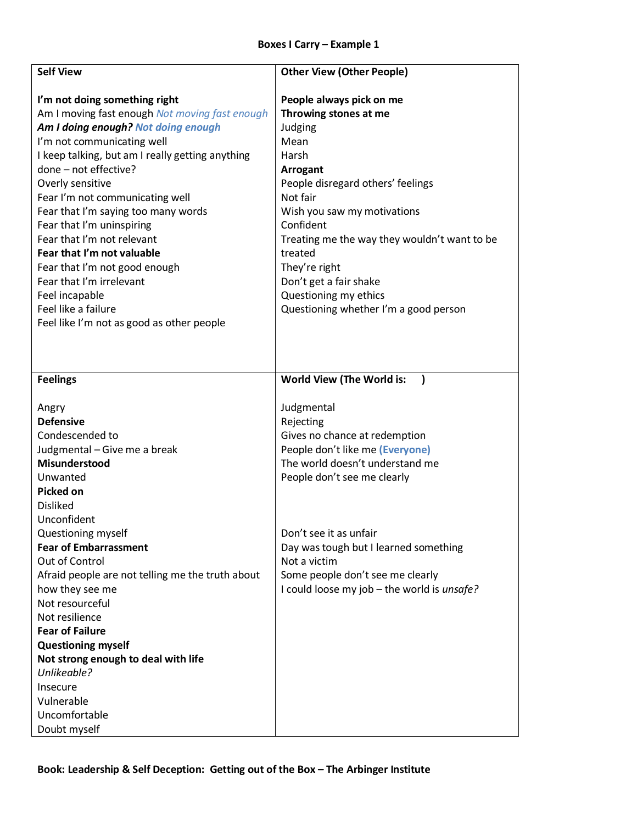## **Boxes I Carry – Example 1**

| <b>Self View</b>                                                                                                                                                                                                                                                                                                                                         | <b>Other View (Other People)</b>                                                                                                                                      |
|----------------------------------------------------------------------------------------------------------------------------------------------------------------------------------------------------------------------------------------------------------------------------------------------------------------------------------------------------------|-----------------------------------------------------------------------------------------------------------------------------------------------------------------------|
| I'm not doing something right<br>Am I moving fast enough Not moving fast enough<br>Am I doing enough? Not doing enough<br>I'm not communicating well<br>I keep talking, but am I really getting anything<br>done - not effective?                                                                                                                        | People always pick on me<br>Throwing stones at me<br>Judging<br>Mean<br>Harsh<br>Arrogant                                                                             |
| Overly sensitive<br>Fear I'm not communicating well<br>Fear that I'm saying too many words<br>Fear that I'm uninspiring<br>Fear that I'm not relevant<br>Fear that I'm not valuable                                                                                                                                                                      | People disregard others' feelings<br>Not fair<br>Wish you saw my motivations<br>Confident<br>Treating me the way they wouldn't want to be<br>treated<br>They're right |
| Fear that I'm not good enough<br>Fear that I'm irrelevant<br>Feel incapable<br>Feel like a failure<br>Feel like I'm not as good as other people                                                                                                                                                                                                          | Don't get a fair shake<br>Questioning my ethics<br>Questioning whether I'm a good person                                                                              |
| <b>Feelings</b>                                                                                                                                                                                                                                                                                                                                          | World View (The World is:<br>$\mathbf{I}$                                                                                                                             |
| Angry<br><b>Defensive</b><br>Condescended to<br>Judgmental - Give me a break<br>Misunderstood<br>Unwanted<br><b>Picked on</b><br><b>Disliked</b><br>Unconfident                                                                                                                                                                                          | Judgmental<br>Rejecting<br>Gives no chance at redemption<br>People don't like me (Everyone)<br>The world doesn't understand me<br>People don't see me clearly         |
| Questioning myself<br><b>Fear of Embarrassment</b><br>Out of Control<br>Afraid people are not telling me the truth about<br>how they see me<br>Not resourceful<br>Not resilience<br><b>Fear of Failure</b><br><b>Questioning myself</b><br>Not strong enough to deal with life<br>Unlikeable?<br>Insecure<br>Vulnerable<br>Uncomfortable<br>Doubt myself | Don't see it as unfair<br>Day was tough but I learned something<br>Not a victim<br>Some people don't see me clearly<br>I could loose my job - the world is unsafe?    |